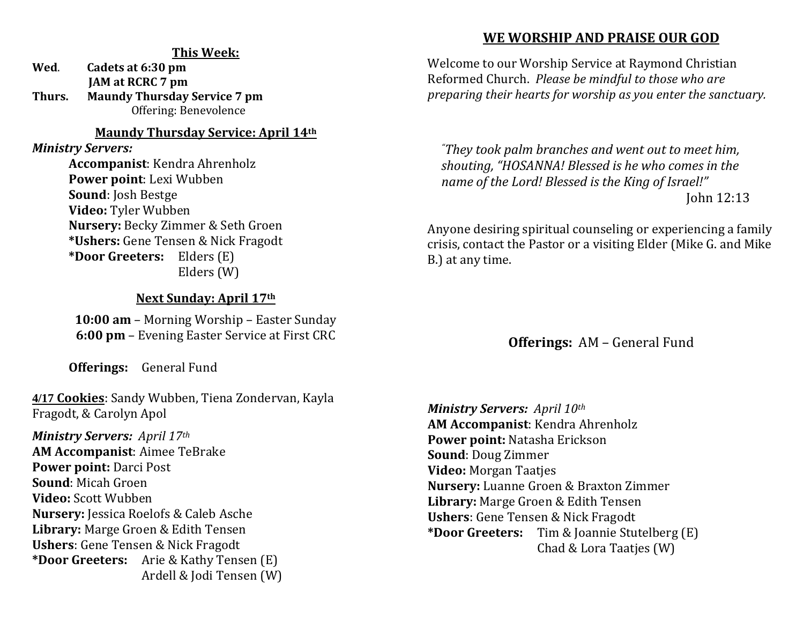#### **This Week:**

**Wed**. **Cadets at 6:30 pm JAM at RCRC 7 pm Thurs. Maundy Thursday Service 7 pm** Offering: Benevolence

#### **Maundy Thursday Service: April 14th**

*Ministry Servers:* 

**Accompanist**: Kendra Ahrenholz **Power point**: Lexi Wubben **Sound**: Josh Bestge **Video:** Tyler Wubben **Nursery:** Becky Zimmer & Seth Groen **\*Ushers:** Gene Tensen & Nick Fragodt **\*Door Greeters:** Elders (E) Elders (W)

#### **Next Sunday: April 17th**

**10:00 am** – Morning Worship – Easter Sunday **6:00 pm** – Evening Easter Service at First CRC

**Offerings:** General Fund

**4/17 Cookies**: Sandy Wubben, Tiena Zondervan, Kayla Fragodt, & Carolyn Apol

### *Ministry Servers: April 17th*

**AM Accompanist**: Aimee TeBrake **Power point:** Darci Post **Sound**: Micah Groen **Video:** Scott Wubben **Nursery:** Jessica Roelofs & Caleb Asche **Library:** Marge Groen & Edith Tensen **Ushers**: Gene Tensen & Nick Fragodt **\*Door Greeters:** Arie & Kathy Tensen (E) Ardell & Jodi Tensen (W)

### **WE WORSHIP AND PRAISE OUR GOD**

Welcome to our Worship Service at Raymond Christian Reformed Church. *Please be mindful to those who are preparing their hearts for worship as you enter the sanctuary.*

*"They took palm branches and went out to meet him, shouting, "HOSANNA! Blessed is he who comes in the name of the Lord! Blessed is the King of Israel!"*  John 12:13

Anyone desiring spiritual counseling or experiencing a family crisis, contact the Pastor or a visiting Elder (Mike G. and Mike B.) at any time.

### **Offerings:** AM – General Fund

*Ministry Servers: April 10th*  **AM Accompanist**: Kendra Ahrenholz **Power point:** Natasha Erickson **Sound**: Doug Zimmer **Video:** Morgan Taatjes **Nursery:** Luanne Groen & Braxton Zimmer **Library:** Marge Groen & Edith Tensen **Ushers**: Gene Tensen & Nick Fragodt **\*Door Greeters:** Tim & Joannie Stutelberg (E) Chad & Lora Taatjes (W)